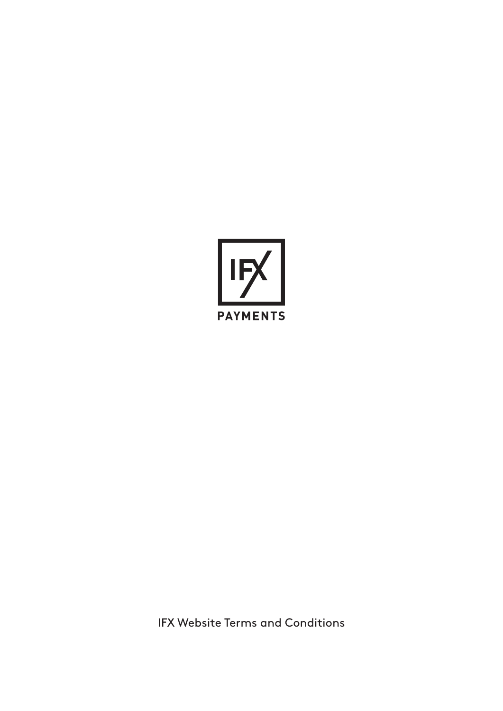

IFX Website Terms and Conditions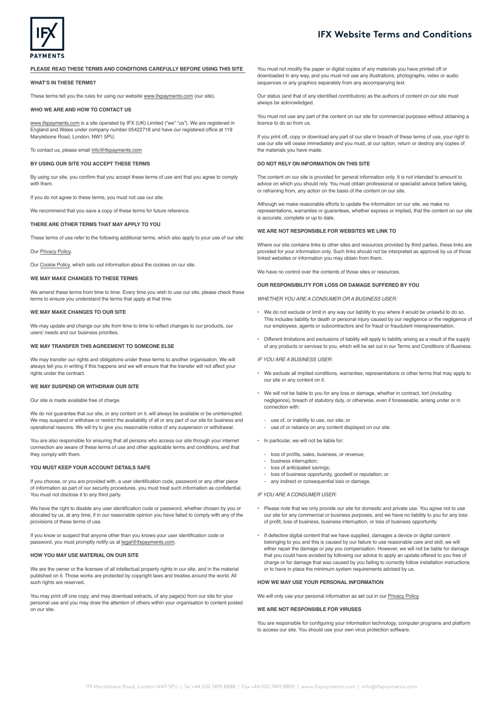

## **PLEASE READ THESE TERMS AND CONDITIONS CAREFULLY BEFORE USING THIS SITE**

**WHAT'S IN THESE TERMS?**

These terms tell you the rules for using our website [www.ifxpayments.com](https://www.ifxpayments.com/) (our site).

## **WHO WE ARE AND HOW TO CONTACT US**

[www.ifxpayments.com](https://www.ifxpayments.com/) is a site operated by IFX (UK) Limited ("we" "us"). We are registered in England and Wales under company number 05422718 and have our registered office at 119 Marylebone Road, London, NW1 5PU.

To contact us, please email [info@ifxpayments.com](mailto:info%40ifxpayments.com?subject=)

#### **BY USING OUR SITE YOU ACCEPT THESE TERMS**

By using our site, you confirm that you accept these terms of use and that you agree to comply with them.

If you do not agree to these terms, you must not use our site.

We recommend that you save a copy of these terms for future reference.

### **THERE ARE OTHER TERMS THAT MAY APPLY TO YOU**

These terms of use refer to the following additional terms, which also apply to your use of our site:

#### Our [Privacy Policy](https://www.ifxpayments.com/privacy/).

Our [Cookie Policy,](https://www.ifxpayments.com/cookies/) which sets out information about the cookies on our site.

#### **WE MAY MAKE CHANGES TO THESE TERMS**

We amend these terms from time to time. Every time you wish to use our site, please check these terms to ensure you understand the terms that apply at that time.

#### **WE MAY MAKE CHANGES TO OUR SITE**

We may update and change our site from time to time to reflect changes to our products, our users' needs and our business priorities.

#### **WE MAY TRANSFER THIS AGREEMENT TO SOMEONE ELSE**

We may transfer our rights and obligations under these terms to another organisation. We will always tell you in writing if this happens and we will ensure that the transfer will not affect your rights under the contract.

## **WE MAY SUSPEND OR WITHDRAW OUR SITE**

Our site is made available free of charge.

We do not guarantee that our site, or any content on it, will always be available or be uninterrupted. We may suspend or withdraw or restrict the availability of all or any part of our site for business and operational reasons. We will try to give you reasonable notice of any suspension or withdrawal.

You are also responsible for ensuring that all persons who access our site through your internet connection are aware of these terms of use and other applicable terms and conditions, and that they comply with them.

### **YOU MUST KEEP YOUR ACCOUNT DETAILS SAFE**

If you choose, or you are provided with, a user identification code, password or any other piece of information as part of our security procedures, you must treat such information as confidential. You must not disclose it to any third party.

We have the right to disable any user identification code or password, whether chosen by you or allocated by us, at any time, if in our reasonable opinion you have failed to comply with any of the provisions of these terms of use.

If you know or suspect that anyone other than you knows your user identification code or password, you must promptly notify us at [legal@ifxpayments.com](mailto:legal%40ifxpayments.com?subject=).

## **HOW YOU MAY USE MATERIAL ON OUR SITE**

We are the owner or the licensee of all intellectual property rights in our site, and in the material published on it. Those works are protected by copyright laws and treaties around the world. All such rights are reserved.

You may print off one copy, and may download extracts, of any page(s) from our site for your personal use and you may draw the attention of others within your organisation to content posted on our site.

You must not modify the paper or digital copies of any materials you have printed off or downloaded in any way, and you must not use any illustrations, photographs, video or audio sequences or any graphics separately from any accompanying text.

Our status (and that of any identified contributors) as the authors of content on our site must always be acknowledged.

You must not use any part of the content on our site for commercial purposes without obtaining a licence to do so from us.

If you print off, copy or download any part of our site in breach of these terms of use, your right to use our site will cease immediately and you must, at our option, return or destroy any copies of the materials you have made.

## **DO NOT RELY ON INFORMATION ON THIS SITE**

The content on our site is provided for general information only. It is not intended to amount to advice on which you should rely. You must obtain professional or specialist advice before taking, or refraining from, any action on the basis of the content on our site.

Although we make reasonable efforts to update the information on our site, we make no representations, warranties or guarantees, whether express or implied, that the content on our site is accurate, complete or up to date.

#### **WE ARE NOT RESPONSIBLE FOR WEBSITES WE LINK TO**

Where our site contains links to other sites and resources provided by third parties, these links are provided for your information only. Such links should not be interpreted as approval by us of those linked websites or information you may obtain from them.

We have no control over the contents of those sites or resources.

## **OUR RESPONSIBILITY FOR LOSS OR DAMAGE SUFFERED BY YOU**

*WHETHER YOU ARE A CONSUMER OR A BUSINESS USER:*

- We do not exclude or limit in any way our liability to you where it would be unlawful to do so. This includes liability for death or personal injury caused by our negligence or the negligence of our employees, agents or subcontractors and for fraud or fraudulent misrepresentation.
- Different limitations and exclusions of liability will apply to liability arising as a result of the supply of any products or services to you, which will be set out in our Terms and Conditions of Business.

#### *IF YOU ARE A BUSINESS USER:*

- We exclude all implied conditions, warranties, representations or other terms that may apply to our site or any content on it.
- We will not be liable to you for any loss or damage, whether in contract, tort (including negligence), breach of statutory duty, or otherwise, even if foreseeable, arising under or in connection with:
	- use of, or inability to use, our site; or
	- use of or reliance on any content displayed on our site.
- In particular, we will not be liable for:
	- loss of profits, sales, business, or revenue;
	- business interruption;
	- loss of anticipated savings;
	- loss of business opportunity, goodwill or reputation; or any indirect or consequential loss or damage.

*IF YOU ARE A CONSUMER USER:*

- Please note that we only provide our site for domestic and private use. You agree not to use our site for any commercial or business purposes, and we have no liability to you for any loss of profit, loss of business, business interruption, or loss of business opportunity.
- If defective digital content that we have supplied, damages a device or digital content belonging to you and this is caused by our failure to use reasonable care and skill, we will either repair the damage or pay you compensation. However, we will not be liable for damage that you could have avoided by following our advice to apply an update offered to you free of charge or for damage that was caused by you failing to correctly follow installation instructions or to have in place the minimum system requirements advised by us.

#### **HOW WE MAY USE YOUR PERSONAL INFORMATION**

We will only use your personal information as set out in our [Privacy Policy](https://www.ifxpayments.com/privacy/).

## **WE ARE NOT RESPONSIBLE FOR VIRUSES**

You are responsible for configuring your information technology, computer programs and platform to access our site. You should use your own virus protection software.

# **IFX Website Terms and Conditions**